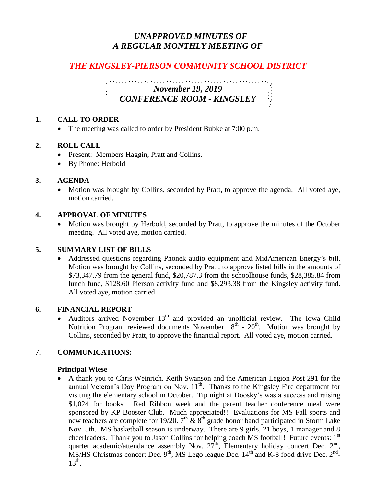## *UNAPPROVED MINUTES OF A REGULAR MONTHLY MEETING OF*

# *THE KINGSLEY-PIERSON COMMUNITY SCHOOL DISTRICT*

# *November 19, 2019 CONFERENCE ROOM - KINGSLEY*

#### **1. CALL TO ORDER**

• The meeting was called to order by President Bubke at 7:00 p.m.

#### **2. ROLL CALL**

- Present: Members Haggin, Pratt and Collins.
- By Phone: Herbold

#### **3. AGENDA**

• Motion was brought by Collins, seconded by Pratt, to approve the agenda. All voted aye, motion carried.

#### **4. APPROVAL OF MINUTES**

• Motion was brought by Herbold, seconded by Pratt, to approve the minutes of the October meeting. All voted aye, motion carried.

#### **5. SUMMARY LIST OF BILLS**

 Addressed questions regarding Phonek audio equipment and MidAmerican Energy's bill. Motion was brought by Collins, seconded by Pratt, to approve listed bills in the amounts of \$73,347.79 from the general fund, \$20,787.3 from the schoolhouse funds, \$28,385.84 from lunch fund, \$128.60 Pierson activity fund and \$8,293.38 from the Kingsley activity fund. All voted aye, motion carried.

#### **6. FINANCIAL REPORT**

• Auditors arrived November  $13<sup>th</sup>$  and provided an unofficial review. The Iowa Child Nutrition Program reviewed documents November  $18<sup>th</sup>$  -  $20<sup>th</sup>$ . Motion was brought by Collins, seconded by Pratt, to approve the financial report. All voted aye, motion carried.

#### 7. **COMMUNICATIONS:**

#### **Principal Wiese**

 A thank you to Chris Weinrich, Keith Swanson and the American Legion Post 291 for the annual Veteran's Day Program on Nov.  $11<sup>th</sup>$ . Thanks to the Kingsley Fire department for visiting the elementary school in October. Tip night at Doosky's was a success and raising \$1,024 for books. Red Ribbon week and the parent teacher conference meal were sponsored by KP Booster Club. Much appreciated!! Evaluations for MS Fall sports and new teachers are complete for 19/20.  $7<sup>th</sup>$  &  $8<sup>th</sup>$  grade honor band participated in Storm Lake Nov. 5th. MS basketball season is underway. There are 9 girls, 21 boys, 1 manager and 8 cheerleaders. Thank you to Jason Collins for helping coach MS football! Future events: 1<sup>st</sup> quarter academic/attendance assembly Nov.  $27^{\text{th}}$ , Elementary holiday concert Dec.  $2^{\text{nd}}$ , MS/HS Christmas concert Dec.  $9<sup>th</sup>$ , MS Lego league Dec.  $14<sup>th</sup>$  and K-8 food drive Dec.  $2<sup>nd</sup>$ - $13^{\text{th}}$ .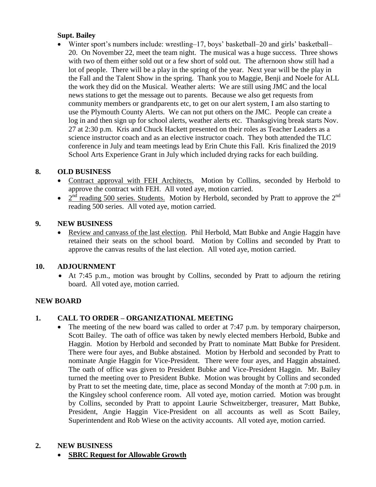#### **Supt. Bailey**

 Winter sport's numbers include: wrestling–17, boys' basketball–20 and girls' basketball– 20. On November 22, meet the team night. The musical was a huge success. Three shows with two of them either sold out or a few short of sold out. The afternoon show still had a lot of people. There will be a play in the spring of the year. Next year will be the play in the Fall and the Talent Show in the spring. Thank you to Maggie, Benji and Noele for ALL the work they did on the Musical. Weather alerts: We are still using JMC and the local news stations to get the message out to parents. Because we also get requests from community members or grandparents etc, to get on our alert system, I am also starting to use the Plymouth County Alerts. We can not put others on the JMC. People can create a log in and then sign up for school alerts, weather alerts etc. Thanksgiving break starts Nov. 27 at 2:30 p.m. Kris and Chuck Hackett presented on their roles as Teacher Leaders as a science instructor coach and as an elective instructor coach. They both attended the TLC conference in July and team meetings lead by Erin Chute this Fall. Kris finalized the 2019 School Arts Experience Grant in July which included drying racks for each building.

## **8. OLD BUSINESS**

- Contract approval with FEH Architects. Motion by Collins, seconded by Herbold to approve the contract with FEH. All voted aye, motion carried.
- $2<sup>nd</sup>$  reading 500 series. Students. Motion by Herbold, seconded by Pratt to approve the  $2<sup>nd</sup>$ reading 500 series. All voted aye, motion carried.

## **9. NEW BUSINESS**

• Review and canvass of the last election. Phil Herbold, Matt Bubke and Angie Haggin have retained their seats on the school board. Motion by Collins and seconded by Pratt to approve the canvas results of the last election. All voted aye, motion carried.

## **10. ADJOURNMENT**

 At 7:45 p.m., motion was brought by Collins, seconded by Pratt to adjourn the retiring board. All voted aye, motion carried.

## **NEW BOARD**

## **1. CALL TO ORDER – ORGANIZATIONAL MEETING**

• The meeting of the new board was called to order at 7:47 p.m. by temporary chairperson, Scott Bailey. The oath of office was taken by newly elected members Herbold, Bubke and Haggin. Motion by Herbold and seconded by Pratt to nominate Matt Bubke for President. There were four ayes, and Bubke abstained. Motion by Herbold and seconded by Pratt to nominate Angie Haggin for Vice-President. There were four ayes, and Haggin abstained. The oath of office was given to President Bubke and Vice-President Haggin. Mr. Bailey turned the meeting over to President Bubke. Motion was brought by Collins and seconded by Pratt to set the meeting date, time, place as second Monday of the month at 7:00 p.m. in the Kingsley school conference room. All voted aye, motion carried. Motion was brought by Collins, seconded by Pratt to appoint Laurie Schweitzberger, treasurer, Matt Bubke, President, Angie Haggin Vice-President on all accounts as well as Scott Bailey, Superintendent and Rob Wiese on the activity accounts. All voted aye, motion carried.

#### **2. NEW BUSINESS**

**SBRC Request for Allowable Growth**